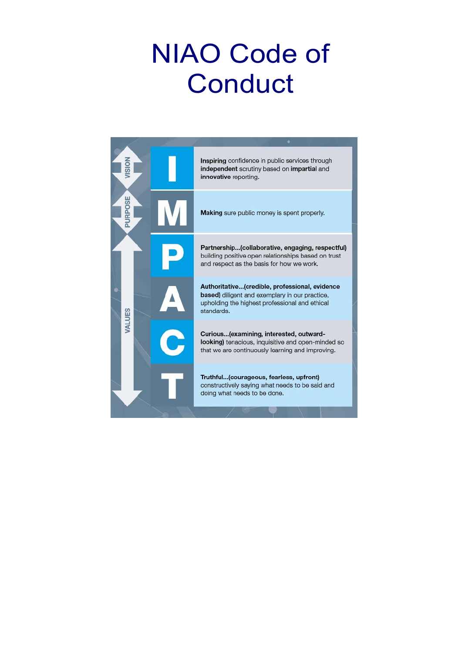# NIAO Code of Conduct

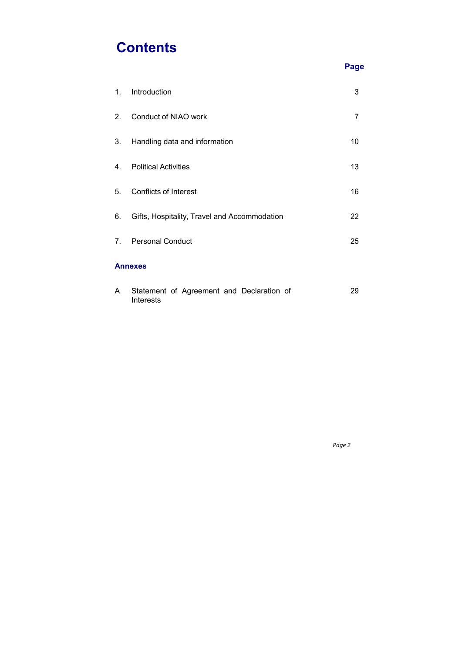# **Contents**

|                |                                              | <b>Page</b>    |
|----------------|----------------------------------------------|----------------|
| $1_{\cdot}$    | Introduction                                 | 3              |
| 2.             | <b>Conduct of NIAO work</b>                  | $\overline{7}$ |
| 3.             | Handling data and information                | 10             |
| $4_{\cdot}$    | <b>Political Activities</b>                  | 13             |
| 5 <sub>1</sub> | <b>Conflicts of Interest</b>                 | 16             |
| 6.             | Gifts, Hospitality, Travel and Accommodation | 22             |
| 7 <sub>1</sub> | <b>Personal Conduct</b>                      | 25             |
|                | <b>Annexes</b>                               |                |
| A              | Statement of Agreement and Declaration of    | 29             |

Interests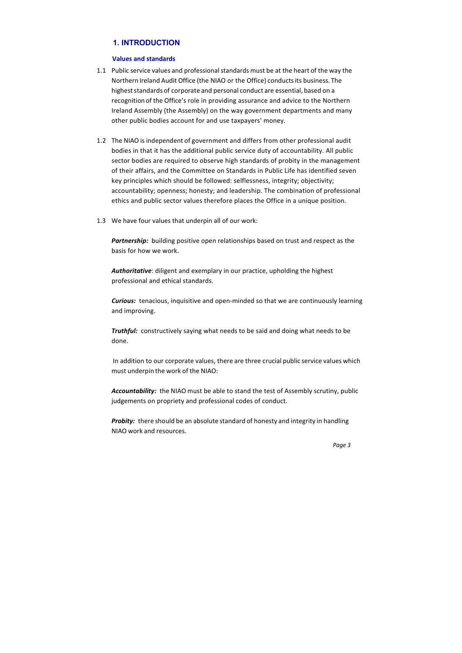# **1. INTRODUCTION**

#### **Values and standards**

- 1.1 Public service values and professional standards must be at the heart of the way the Northern Ireland Audit Office (the NIAO or the Office) conducts its business. The highest standards of corporate and personal conduct are essential, based on a recognition of the Office's role in providing assurance and advice to the Northern Ireland Assembly (the Assembly) on the way government departments and many other public bodies account for and use taxpayers' money.
- 1.2 The NIAO is independent of government and differs from other professional audit bodies in that it has the additional public service duty of accountability. All public sector bodies are required to observe high standards of probity in the management of their affairs, and the Committee on Standards in Public Life has identified seven key principles which should be followed: selflessness, integrity; objectivity; accountability; openness; honesty; and leadership. The combination of professional ethics and public sector values therefore places the Office in a unique position.
- 1.3 We have four values that underpin all of our work:

**Partnership:** building positive open relationships based on trust and respect as the basis for how we work.

*Curious:* tenacious, inquisitive and open-minded so that we are continuously learning and improving.

**Probity:** there should be an absolute standard of honesty and integrity in handling NIAO work and resources.

*Authoritative*: diligent and exemplary in our practice, upholding the highest professional and ethical standards.

*Truthful:*  constructively saying what needs to be said and doing what needs to be done.

In addition to our corporate values, there are three crucial public service values which must underpin the work of the NIAO:

*Accountability:*  the NIAO must be able to stand the test of Assembly scrutiny, public judgements on propriety and professional codes of conduct.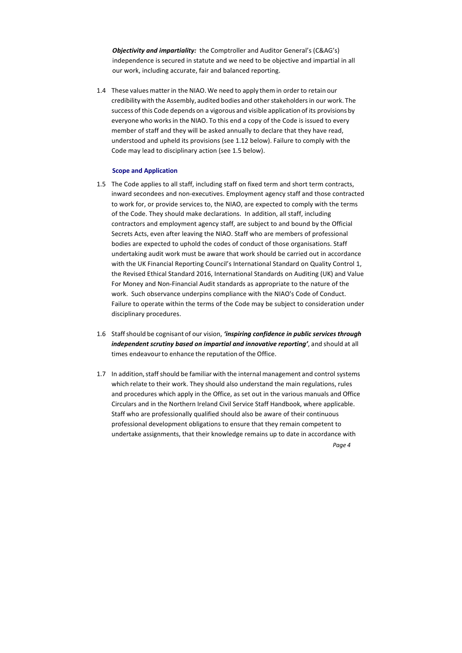*Objectivity and impartiality:*  the Comptroller and Auditor General's (C&AG's) independence is secured in statute and we need to be objective and impartial in all our work, including accurate, fair and balanced reporting.

1.4 These values matter in the NIAO. We need to apply them in order to retain our credibility with the Assembly, audited bodies and other stakeholders in our work. The success of this Code depends on a vigorous and visible application of its provisions by everyone who works in the NIAO. To this end a copy of the Code is issued to every member of staff and they will be asked annually to declare that they have read, understood and upheld its provisions (see 1.12 below). Failure to comply with the Code may lead to disciplinary action (see 1.5 below).

#### **Scope and Application**

- 1.5 The Code applies to all staff, including staff on fixed term and short term contracts, inward secondees and non‐executives. Employment agency staff and those contracted to work for, or provide services to, the NIAO, are expected to comply with the terms of the Code. They should make declarations. In addition, all staff, including contractors and employment agency staff, are subject to and bound by the Official Secrets Acts, even after leaving the NIAO. Staff who are members of professional bodies are expected to uphold the codes of conduct of those organisations. Staff undertaking audit work must be aware that work should be carried out in accordance with the UK Financial Reporting Council's International Standard on Quality Control 1, the Revised Ethical Standard 2016, International Standards on Auditing (UK) and Value For Money and Non‐Financial Audit standards as appropriate to the nature of the work. Such observance underpins compliance with the NIAO's Code of Conduct. Failure to operate within the terms of the Code may be subject to consideration under disciplinary procedures.
- 1.6 Staff should be cognisant of our vision, *'inspiring confidence in public services through independent scrutiny based on impartial and innovative reporting'*, and should at all times endeavour to enhance the reputation of the Office.
- 1.7 In addition, staff should be familiar with the internal management and control systems which relate to their work. They should also understand the main regulations, rules and procedures which apply in the Office, as set out in the various manuals and Office Circulars and in the Northern Ireland Civil Service Staff Handbook, where applicable. Staff who are professionally qualified should also be aware of their continuous professional development obligations to ensure that they remain competent to undertake assignments, that their knowledge remains up to date in accordance with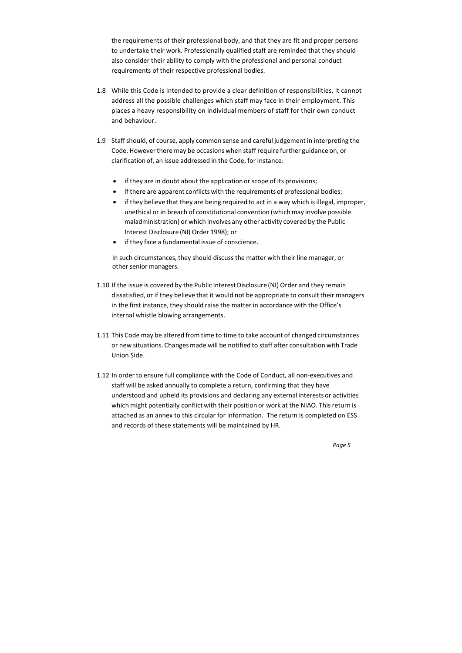- 1.8 While this Code is intended to provide a clear definition of responsibilities, it cannot address all the possible challenges which staff may face in their employment. This places a heavy responsibility on individual members of staff for their own conduct and behaviour.
- 1.9 Staff should, of course, apply common sense and careful judgement in interpreting the Code. However there may be occasions when staff require further guidance on, or clarification of, an issue addressed in the Code, for instance:
	- if they are in doubt about the application or scope of its provisions;
	- if there are apparent conflicts with the requirements of professional bodies;
	- if they believe that they are being required to act in a way which is illegal, improper, unethical or in breach of constitutional convention (which may involve possible maladministration) or which involves any other activity covered by the Public Interest Disclosure (NI) Order 1998); or
	- if they face a fundamental issue of conscience.

the requirements of their professional body, and that they are fit and proper persons to undertake their work. Professionally qualified staff are reminded that they should also consider their ability to comply with the professional and personal conduct requirements of their respective professional bodies.

In such circumstances, they should discuss the matter with their line manager, or other senior managers.

- 1.10 If the issue is covered by the Public Interest Disclosure (NI) Order and they remain dissatisfied, or if they believe that it would not be appropriate to consult their managers in the first instance, they should raise the matter in accordance with the Office's internal whistle blowing arrangements.
- 1.11 This Code may be altered from time to time to take account of changed circumstances or new situations. Changes made will be notified to staff after consultation with Trade Union Side.
- 1.12 In order to ensure full compliance with the Code of Conduct, all non‐executives and staff will be asked annually to complete a return, confirming that they have understood and upheld its provisions and declaring any external interests or activities which might potentially conflict with their position or work at the NIAO. This return is attached as an annex to this circular for information. The return is completed on ESS and records of these statements will be maintained by HR.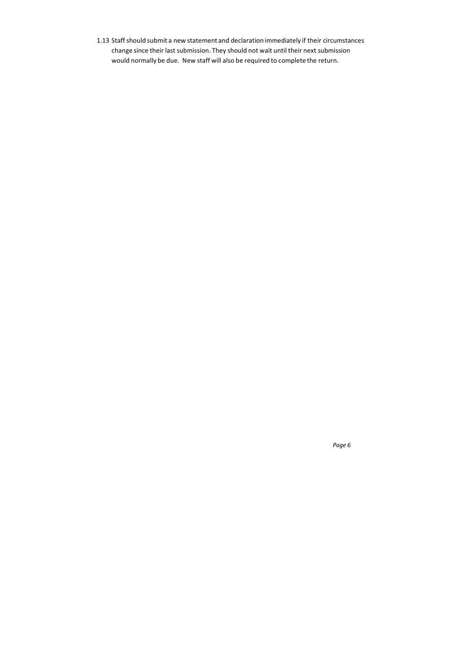1.13 Staff should submit a new statement and declaration immediately if their circumstances change since their last submission. They should not wait until their next submission would normally be due. New staff will also be required to complete the return.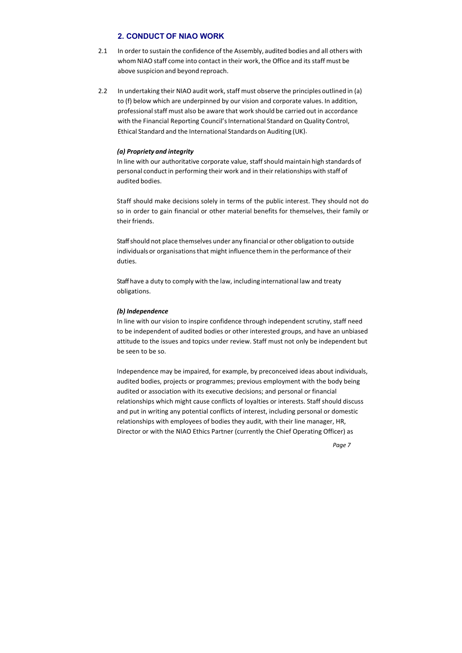# **2. CONDUCT OF NIAO WORK**

- 2.1 In order to sustain the confidence of the Assembly, audited bodies and all others with whom NIAO staff come into contact in their work, the Office and its staff must be above suspicion and beyond reproach.
- 2.2 In undertaking their NIAO audit work, staff must observe the principles outlined in (a) to (f) below which are underpinned by our vision and corporate values. In addition, professional staff must also be aware that work should be carried out in accordance with the Financial Reporting Council's International Standard on Quality Control, Ethical Standard and the International Standards on Auditing (UK).

#### *(a) Propriety and integrity*

In line with our authoritative corporate value, staff should maintain high standards of personal conduct in performing their work and in their relationships with staff of audited bodies.

Staff should make decisions solely in terms of the public interest. They should not do so in order to gain financial or other material benefits for themselves, their family or their friends.

Staff should not place themselves under any financial or other obligation to outside individuals or organisations that might influence them in the performance of their duties.

Staff have a duty to comply with the law, including international law and treaty obligations.

#### *(b) Independence*

In line with our vision to inspire confidence through independent scrutiny, staff need to be independent of audited bodies or other interested groups, and have an unbiased attitude to the issues and topics under review. Staff must not only be independent but be seen to be so.

Independence may be impaired, for example, by preconceived ideas about individuals, audited bodies, projects or programmes; previous employment with the body being audited or association with its executive decisions; and personal or financial relationships which might cause conflicts of loyalties or interests. Staff should discuss and put in writing any potential conflicts of interest, including personal or domestic relationships with employees of bodies they audit, with their line manager, HR, Director or with the NIAO Ethics Partner (currently the Chief Operating Officer) as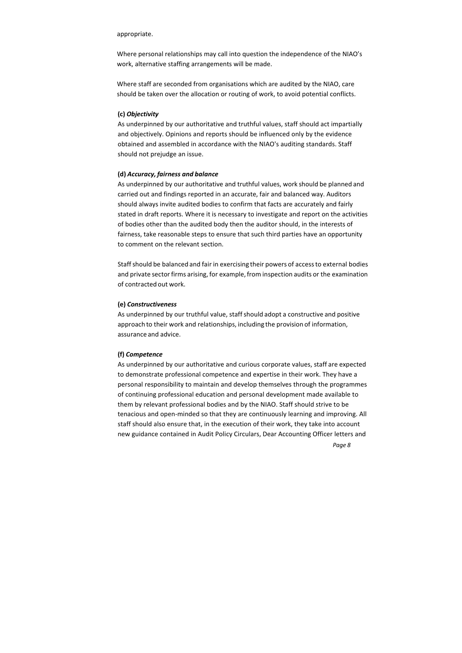*Page 8*

appropriate.

Where personal relationships may call into question the independence of the NIAO's work, alternative staffing arrangements will be made.

Where staff are seconded from organisations which are audited by the NIAO, care should be taken over the allocation or routing of work, to avoid potential conflicts.

#### **(c)** *Objectivity*

As underpinned by our authoritative and truthful values, staff should act impartially and objectively. Opinions and reports should be influenced only by the evidence obtained and assembled in accordance with the NIAO's auditing standards. Staff should not prejudge an issue.

#### **(d)** *Accuracy, fairness and balance*

As underpinned by our authoritative and truthful values, work should be planned and carried out and findings reported in an accurate, fair and balanced way. Auditors should always invite audited bodies to confirm that facts are accurately and fairly stated in draft reports. Where it is necessary to investigate and report on the activities of bodies other than the audited body then the auditor should, in the interests of fairness, take reasonable steps to ensure that such third parties have an opportunity to comment on the relevant section.

Staff should be balanced and fair in exercising their powers of access to external bodies and private sector firms arising, for example, from inspection audits or the examination of contracted out work.

#### **(e)** *Constructiveness*

As underpinned by our truthful value, staff should adopt a constructive and positive approach to their work and relationships, including the provision of information, assurance and advice.

#### **(f)** *Competence*

As underpinned by our authoritative and curious corporate values, staff are expected to demonstrate professional competence and expertise in their work. They have a personal responsibility to maintain and develop themselves through the programmes of continuing professional education and personal development made available to them by relevant professional bodies and by the NIAO. Staff should strive to be tenacious and open‐minded so that they are continuously learning and improving. All staff should also ensure that, in the execution of their work, they take into account new guidance contained in Audit Policy Circulars, Dear Accounting Officer letters and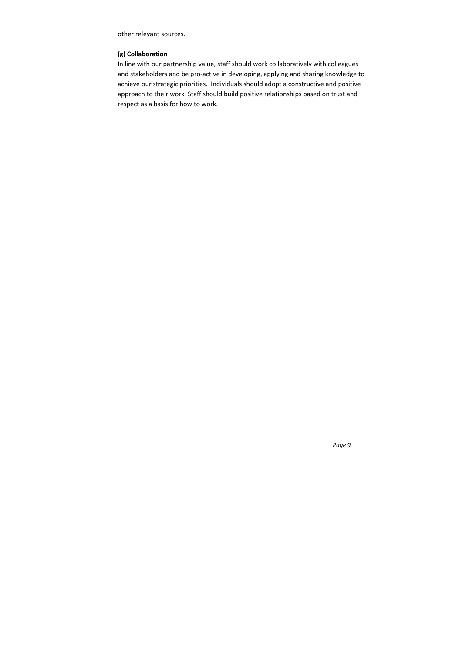other relevant sources.

# **(g) Collaboration**

In line with our partnership value, staff should work collaboratively with colleagues and stakeholders and be pro‐active in developing, applying and sharing knowledge to achieve our strategic priorities. Individuals should adopt a constructive and positive approach to their work. Staff should build positive relationships based on trust and respect as a basis for how to work.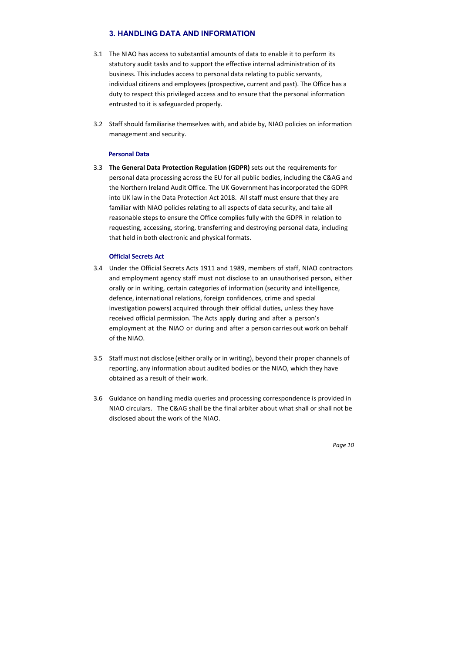# **3. HANDLING DATA AND INFORMATION**

- 3.1 The NIAO has access to substantial amounts of data to enable it to perform its statutory audit tasks and to support the effective internal administration of its business. This includes access to personal data relating to public servants, individual citizens and employees (prospective, current and past). The Office has a duty to respect this privileged access and to ensure that the personal information entrusted to it is safeguarded properly.
- 3.2 Staff should familiarise themselves with, and abide by, NIAO policies on information management and security.

#### **Personal Data**

3.3 **The General Data Protection Regulation (GDPR)** sets out the requirements for personal data processing across the EU for all public bodies, including the C&AG and the Northern Ireland Audit Office. The UK Government has incorporated the GDPR into UK law in the Data Protection Act 2018. All staff must ensure that they are familiar with NIAO policies relating to all aspects of data security, and take all reasonable steps to ensure the Office complies fully with the GDPR in relation to requesting, accessing, storing, transferring and destroying personal data, including that held in both electronic and physical formats.

# **Official Secrets Act**

- 3.4 Under the Official Secrets Acts 1911 and 1989, members of staff, NIAO contractors and employment agency staff must not disclose to an unauthorised person, either orally or in writing, certain categories of information (security and intelligence, defence, international relations, foreign confidences, crime and special investigation powers) acquired through their official duties, unless they have received official permission. The Acts apply during and after a person's employment at the NIAO or during and after a person carries out work on behalf of the NIAO.
- 3.5 Staff must not disclose (either orally or in writing), beyond their proper channels of reporting, any information about audited bodies or the NIAO, which they have obtained as a result of their work.
- 3.6 Guidance on handling media queries and processing correspondence is provided in NIAO circulars. The C&AG shall be the final arbiter about what shall or shall not be disclosed about the work of the NIAO.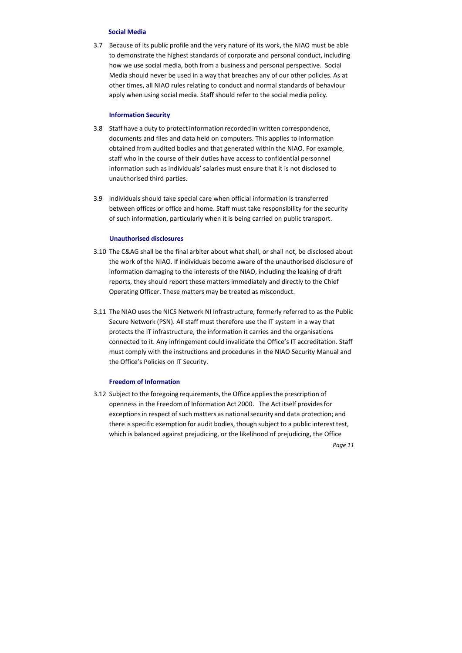#### **Social Media**

3.7 Because of its public profile and the very nature of its work, the NIAO must be able to demonstrate the highest standards of corporate and personal conduct, including how we use social media, both from a business and personal perspective. Social Media should never be used in a way that breaches any of our other policies. As at other times, all NIAO rules relating to conduct and normal standards of behaviour apply when using social media. Staff should refer to the social media policy.

#### **Information Security**

- 3.8 Staff have a duty to protect information recorded in written correspondence, documents and files and data held on computers. This applies to information obtained from audited bodies and that generated within the NIAO. For example, staff who in the course of their duties have access to confidential personnel information such as individuals' salaries must ensure that it is not disclosed to unauthorised third parties.
- 3.9 Individuals should take special care when official information is transferred between offices or office and home. Staff must take responsibility for the security of such information, particularly when it is being carried on public transport.

#### **Unauthorised disclosures**

- 3.10 The C&AG shall be the final arbiter about what shall, or shall not, be disclosed about the work of the NIAO. If individuals become aware of the unauthorised disclosure of information damaging to the interests of the NIAO, including the leaking of draft reports, they should report these matters immediately and directly to the Chief Operating Officer. These matters may be treated as misconduct.
- 3.11 The NIAO uses the NICS Network NI Infrastructure, formerly referred to as the Public Secure Network (PSN). All staff must therefore use the IT system in a way that protects the IT infrastructure, the information it carries and the organisations connected to it. Any infringement could invalidate the Office's IT accreditation. Staff must comply with the instructions and procedures in the NIAO Security Manual and the Office's Policies on IT Security.

#### **Freedom of Information**

3.12 Subject to the foregoing requirements, the Office applies the prescription of openness in the Freedom of Information Act 2000. The Act itself provides for exceptions in respect of such matters as national security and data protection; and there is specific exemption for audit bodies, though subject to a public interest test, which is balanced against prejudicing, or the likelihood of prejudicing, the Office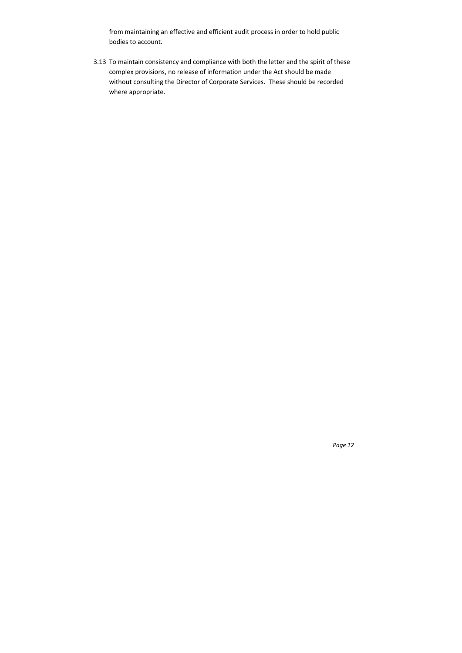from maintaining an effective and efficient audit process in order to hold public bodies to account.

3.13 To maintain consistency and compliance with both the letter and the spirit of these complex provisions, no release of information under the Act should be made without consulting the Director of Corporate Services. These should be recorded where appropriate.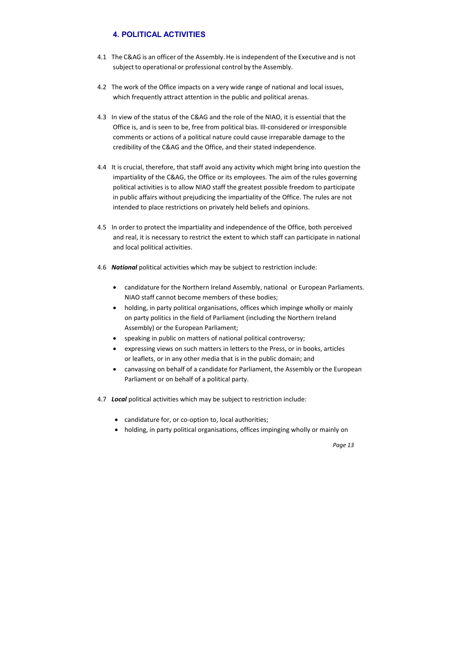- 4.1 The C&AG is an officer of the Assembly. He is independent of the Executive and is not subject to operational or professional control by the Assembly.
- 4.2 The work of the Office impacts on a very wide range of national and local issues, which frequently attract attention in the public and political arenas.
- 4.3 In view of the status of the C&AG and the role of the NIAO, it is essential that the Office is, and is seen to be, free from political bias. Ill‐considered or irresponsible comments or actions of a political nature could cause irreparable damage to the credibility of the C&AG and the Office, and their stated independence.
- 4.4 It is crucial, therefore, that staff avoid any activity which might bring into question the impartiality of the C&AG, the Office or its employees. The aim of the rules governing political activities is to allow NIAO staff the greatest possible freedom to participate in public affairs without prejudicing the impartiality of the Office. The rules are not intended to place restrictions on privately held beliefs and opinions.
- 4.5 In order to protect the impartiality and independence of the Office, both perceived and real, it is necessary to restrict the extent to which staff can participate in national and local political activities.
- 4.6 *National* political activities which may be subject to restriction include:
	- candidature for the Northern Ireland Assembly, national or European Parliaments. NIAO staff cannot become members of these bodies;
	- holding, in party political organisations, offices which impinge wholly or mainly on party politics in the field of Parliament (including the Northern Ireland Assembly) or the European Parliament;
	- speaking in public on matters of national political controversy;
	- expressing views on such matters in letters to the Press, or in books, articles or leaflets, or in any other media that is in the public domain; and
	- canvassing on behalf of a candidate for Parliament, the Assembly or the European Parliament or on behalf of a political party.
- 4.7 *Local* political activities which may be subject to restriction include:
	- candidature for, or co-option to, local authorities;
	- holding, in party political organisations, offices impinging wholly or mainly on

# **4. POLITICAL ACTIVITIES**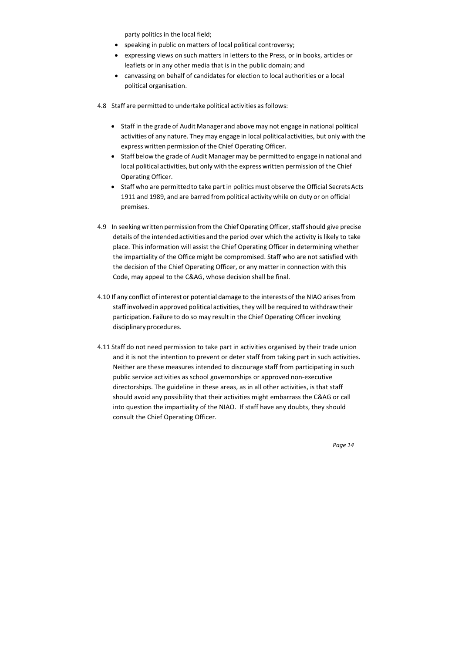party politics in the local field;

- speaking in public on matters of local political controversy;
- expressing views on such matters in letters to the Press, or in books, articles or leaflets or in any other media that is in the public domain; and
- canvassing on behalf of candidates for election to local authorities or a local political organisation.
- 4.8 Staff are permitted to undertake political activities as follows:
	- Staff in the grade of Audit Manager and above may not engage in national political activities of any nature. They may engage in local political activities, but only with the express written permission of the Chief Operating Officer.
	- Staff below the grade of Audit Manager may be permitted to engage in national and local political activities, but only with the express written permission of the Chief Operating Officer.
	- Staff who are permitted to take part in politics must observe the Official Secrets Acts 1911 and 1989, and are barred from political activity while on duty or on official premises.
- 4.9 In seeking written permission from the Chief Operating Officer, staff should give precise details of the intended activities and the period over which the activity is likely to take place. This information will assist the Chief Operating Officer in determining whether the impartiality of the Office might be compromised. Staff who are not satisfied with the decision of the Chief Operating Officer, or any matter in connection with this Code, may appeal to the C&AG, whose decision shall be final.
- 4.10 If any conflict of interest or potential damage to the interests of the NIAO arises from staff involved in approved political activities, they will be required to withdraw their participation. Failure to do so may result in the Chief Operating Officer invoking disciplinary procedures.
- 4.11 Staff do not need permission to take part in activities organised by their trade union and it is not the intention to prevent or deter staff from taking part in such activities. Neither are these measures intended to discourage staff from participating in such public service activities as school governorships or approved non‐executive directorships. The guideline in these areas, as in all other activities, is that staff should avoid any possibility that their activities might embarrass the C&AG or call into question the impartiality of the NIAO. If staff have any doubts, they should consult the Chief Operating Officer.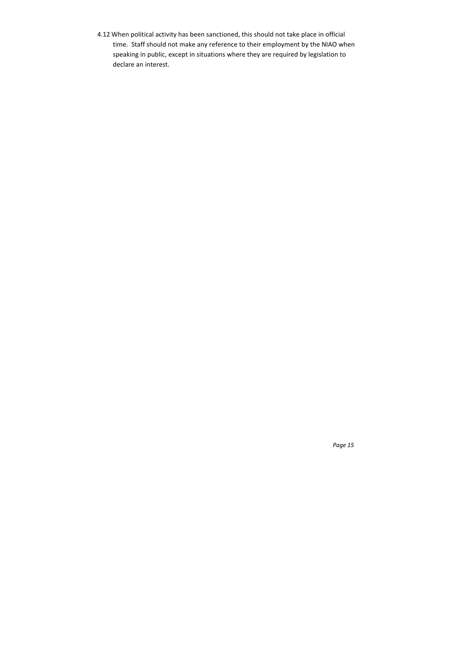4.12 When political activity has been sanctioned, this should not take place in official time. Staff should not make any reference to their employment by the NIAO when speaking in public, except in situations where they are required by legislation to declare an interest.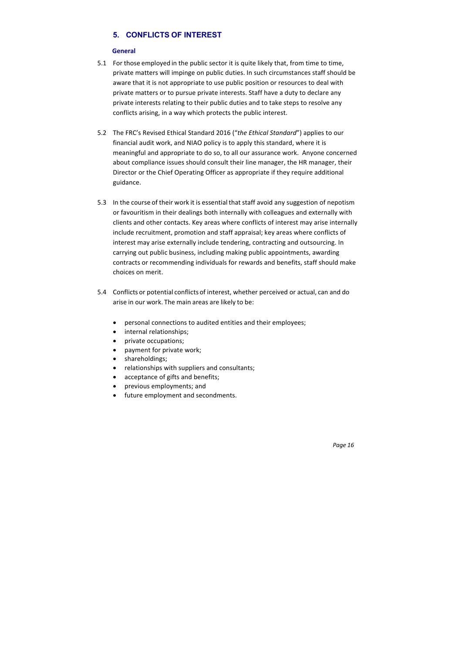# **5. CONFLICTS OF INTEREST**

#### **General**

- 5.1 For those employed in the public sector it is quite likely that, from time to time, private matters will impinge on public duties. In such circumstances staff should be aware that it is not appropriate to use public position or resources to deal with private matters or to pursue private interests. Staff have a duty to declare any private interests relating to their public duties and to take steps to resolve any conflicts arising, in a way which protects the public interest.
- 5.2 The FRC's Revised Ethical Standard 2016 ("*the Ethical Standard*") applies to our financial audit work, and NIAO policy is to apply this standard, where it is meaningful and appropriate to do so, to all our assurance work. Anyone concerned about compliance issues should consult their line manager, the HR manager, their Director or the Chief Operating Officer as appropriate if they require additional guidance.
- 5.3 In the course of their work it is essential that staff avoid any suggestion of nepotism or favouritism in their dealings both internally with colleagues and externally with clients and other contacts. Key areas where conflicts of interest may arise internally include recruitment, promotion and staff appraisal; key areas where conflicts of interest may arise externally include tendering, contracting and outsourcing. In carrying out public business, including making public appointments, awarding contracts or recommending individuals for rewards and benefits, staff should make choices on merit.
- 5.4 Conflicts or potential conflicts of interest, whether perceived or actual, can and do arise in our work. The main areas are likely to be:
	- personal connections to audited entities and their employees;
	- internal relationships;
	- private occupations;
	- payment for private work;
	- shareholdings;
	- relationships with suppliers and consultants;
	- acceptance of gifts and benefits;
	- previous employments; and
	- future employment and secondments.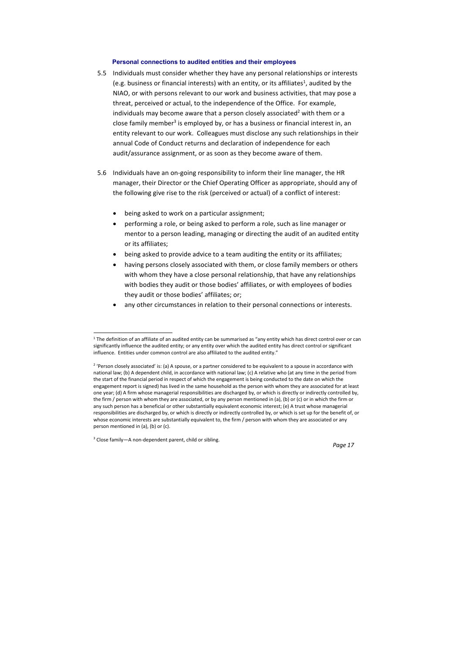#### **Personal connections to audited entities and their employees**

- 5.5 Individuals must consider whether they have any personal relationships or interests (e.g. business or financial interests) with an entity, or its affiliates<sup>1</sup>, audited by the NIAO, or with persons relevant to our work and business activities, that may pose a threat, perceived or actual, to the independence of the Office. For example, individuals may become aware that a person closely associated<sup>2</sup> with them or a close family member<sup>3</sup> is employed by, or has a business or financial interest in, an entity relevant to our work. Colleagues must disclose any such relationships in their annual Code of Conduct returns and declaration of independence for each audit/assurance assignment, or as soon as they become aware of them.
- 5.6 Individuals have an on‐going responsibility to inform their line manager, the HR manager, their Director or the Chief Operating Officer as appropriate, should any of the following give rise to the risk (perceived or actual) of a conflict of interest:
	- being asked to work on a particular assignment;
	- performing a role, or being asked to perform a role, such as line manager or mentor to a person leading, managing or directing the audit of an audited entity or its affiliates;
	- being asked to provide advice to a team auditing the entity or its affiliates;
	- having persons closely associated with them, or close family members or others with whom they have a close personal relationship, that have any relationships with bodies they audit or those bodies' affiliates, or with employees of bodies they audit or those bodies' affiliates; or;
	- any other circumstances in relation to their personal connections or interests.

 $1$  The definition of an affiliate of an audited entity can be summarised as "any entity which has direct control over or can significantly influence the audited entity; or any entity over which the audited entity has direct control or significant influence. Entities under common control are also affiliated to the audited entity."

<sup>&</sup>lt;sup>2</sup> 'Person closely associated' is: (a) A spouse, or a partner considered to be equivalent to a spouse in accordance with national law; (b) A dependent child, in accordance with national law; (c) A relative who (at any time in the period from the start of the financial period in respect of which the engagement is being conducted to the date on which the engagement report is signed) has lived in the same household as the person with whom they are associated for at least one year; (d) A firm whose managerial responsibilities are discharged by, or which is directly or indirectly controlled by, the firm / person with whom they are associated, or by any person mentioned in (a), (b) or (c) or in which the firm or any such person has a beneficial or other substantially equivalent economic interest; (e) A trust whose managerial responsibilities are discharged by, or which is directly or indirectly controlled by, or which is set up for the benefit of, or whose economic interests are substantially equivalent to, the firm / person with whom they are associated or any person mentioned in (a), (b) or (c).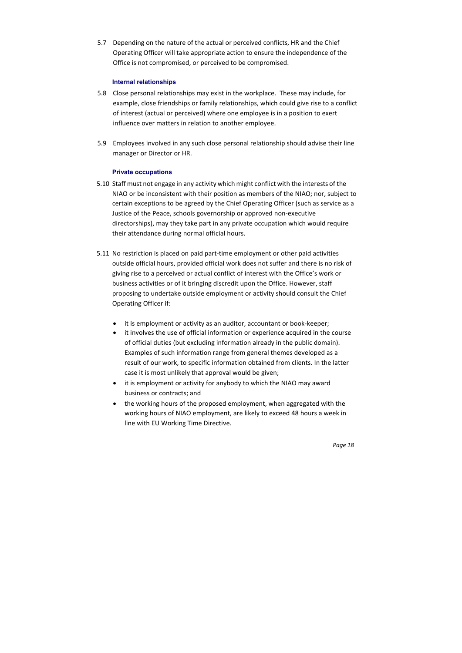5.7 Depending on the nature of the actual or perceived conflicts, HR and the Chief Operating Officer will take appropriate action to ensure the independence of the Office is not compromised, or perceived to be compromised.

#### **Internal relationships**

- 5.8 Close personal relationships may exist in the workplace. These may include, for example, close friendships or family relationships, which could give rise to a conflict of interest (actual or perceived) where one employee is in a position to exert influence over matters in relation to another employee.
- 5.9 Employees involved in any such close personal relationship should advise their line manager or Director or HR.

# **Private occupations**

- 5.10 Staff must not engage in any activity which might conflict with the interests of the NIAO or be inconsistent with their position as members of the NIAO; nor, subject to certain exceptions to be agreed by the Chief Operating Officer (such as service as a Justice of the Peace, schools governorship or approved non‐executive directorships), may they take part in any private occupation which would require their attendance during normal official hours.
- 5.11 No restriction is placed on paid part‐time employment or other paid activities outside official hours, provided official work does not suffer and there is no risk of giving rise to a perceived or actual conflict of interest with the Office's work or business activities or of it bringing discredit upon the Office. However, staff proposing to undertake outside employment or activity should consult the Chief Operating Officer if:
	- it is employment or activity as an auditor, accountant or book‐keeper;
	- it involves the use of official information or experience acquired in the course of official duties (but excluding information already in the public domain). Examples of such information range from general themes developed as a result of our work, to specific information obtained from clients. In the latter case it is most unlikely that approval would be given;
	- it is employment or activity for anybody to which the NIAO may award business or contracts; and
	- the working hours of the proposed employment, when aggregated with the working hours of NIAO employment, are likely to exceed 48 hours a week in line with EU Working Time Directive.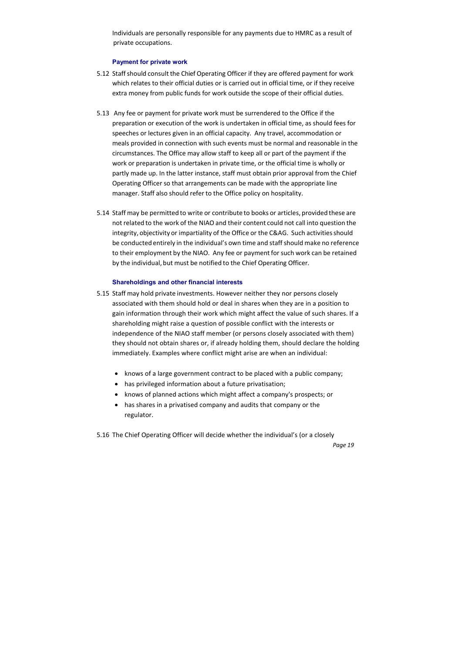Individuals are personally responsible for any payments due to HMRC as a result of private occupations.

#### **Payment for private work**

- 5.12 Staff should consult the Chief Operating Officer if they are offered payment for work which relates to their official duties or is carried out in official time, or if they receive extra money from public funds for work outside the scope of their official duties.
- 5.13 Any fee or payment for private work must be surrendered to the Office if the preparation or execution of the work is undertaken in official time, as should fees for speeches or lectures given in an official capacity. Any travel, accommodation or meals provided in connection with such events must be normal and reasonable in the circumstances. The Office may allow staff to keep all or part of the payment if the work or preparation is undertaken in private time, or the official time is wholly or partly made up. In the latter instance, staff must obtain prior approval from the Chief Operating Officer so that arrangements can be made with the appropriate line manager. Staff also should refer to the Office policy on hospitality.
- 5.14 Staff may be permitted to write or contribute to books or articles, provided these are not related to the work of the NIAO and their content could not call into question the integrity, objectivity or impartiality of the Office or the C&AG. Such activities should be conducted entirely in the individual's own time and staff should make no reference to their employment by the NIAO. Any fee or payment for such work can be retained by the individual, but must be notified to the Chief Operating Officer.

#### **Shareholdings and other financial interests**

- 5.15 Staff may hold private investments. However neither they nor persons closely associated with them should hold or deal in shares when they are in a position to gain information through their work which might affect the value of such shares. If a shareholding might raise a question of possible conflict with the interests or independence of the NIAO staff member (or persons closely associated with them) they should not obtain shares or, if already holding them, should declare the holding immediately. Examples where conflict might arise are when an individual:
	- knows of a large government contract to be placed with a public company;
	- has privileged information about a future privatisation;
	- knows of planned actions which might affect a company's prospects; or
	- has shares in a privatised company and audits that company or the regulator.

5.16 The Chief Operating Officer will decide whether the individual's (or a closely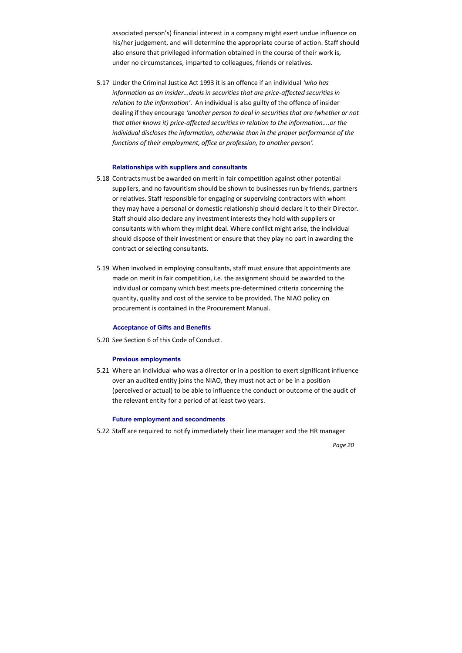associated person's) financial interest in a company might exert undue influence on his/her judgement, and will determine the appropriate course of action. Staff should also ensure that privileged information obtained in the course of their work is, under no circumstances, imparted to colleagues, friends or relatives.

5.17 Under the Criminal Justice Act 1993 it is an offence if an individual *'who has information as an insider...deals in securities that are price‐affected securities in relation to the information'*. An individual is also guilty of the offence of insider dealing if they encourage *'another person to deal in securities that are (whether or not that other knows it) price‐affected securities in relation to the information....or the individual discloses the information, otherwise than in the proper performance of the functions of their employment, office or profession, to another person'.*

#### **Relationships with suppliers and consultants**

- 5.18 Contracts must be awarded on merit in fair competition against other potential suppliers, and no favouritism should be shown to businesses run by friends, partners or relatives. Staff responsible for engaging or supervising contractors with whom they may have a personal or domestic relationship should declare it to their Director. Staff should also declare any investment interests they hold with suppliers or consultants with whom they might deal. Where conflict might arise, the individual should dispose of their investment or ensure that they play no part in awarding the contract or selecting consultants.
- 5.19 When involved in employing consultants, staff must ensure that appointments are made on merit in fair competition, i.e. the assignment should be awarded to the individual or company which best meets pre‐determined criteria concerning the quantity, quality and cost of the service to be provided. The NIAO policy on procurement is contained in the Procurement Manual.

#### **Acceptance of Gifts and Benefits**

5.20 See Section 6 of this Code of Conduct.

#### **Previous employments**

5.21 Where an individual who was a director or in a position to exert significant influence over an audited entity joins the NIAO, they must not act or be in a position (perceived or actual) to be able to influence the conduct or outcome of the audit of the relevant entity for a period of at least two years.

#### **Future employment and secondments**

5.22 Staff are required to notify immediately their line manager and the HR manager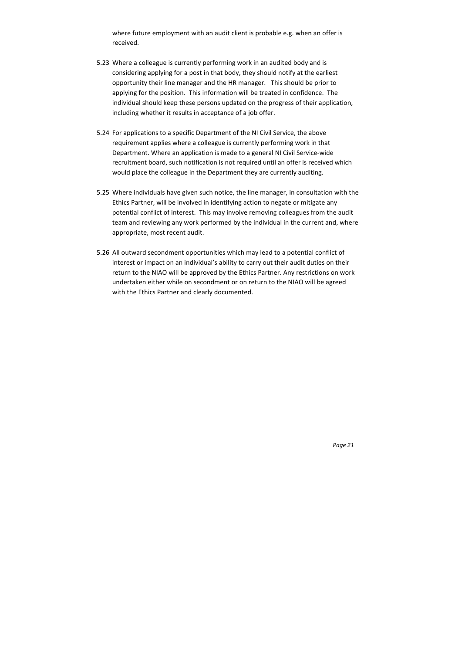where future employment with an audit client is probable e.g. when an offer is received.

- 5.23 Where a colleague is currently performing work in an audited body and is considering applying for a post in that body, they should notify at the earliest opportunity their line manager and the HR manager. This should be prior to applying for the position. This information will be treated in confidence. The individual should keep these persons updated on the progress of their application, including whether it results in acceptance of a job offer.
- 5.24 For applications to a specific Department of the NI Civil Service, the above requirement applies where a colleague is currently performing work in that Department. Where an application is made to a general NI Civil Service-wide recruitment board, such notification is not required until an offer is received which would place the colleague in the Department they are currently auditing.
- 5.25 Where individuals have given such notice, the line manager, in consultation with the Ethics Partner, will be involved in identifying action to negate or mitigate any potential conflict of interest. This may involve removing colleagues from the audit team and reviewing any work performed by the individual in the current and, where appropriate, most recent audit.
- 5.26 All outward secondment opportunities which may lead to a potential conflict of interest or impact on an individual's ability to carry out their audit duties on their return to the NIAO will be approved by the Ethics Partner. Any restrictions on work undertaken either while on secondment or on return to the NIAO will be agreed with the Ethics Partner and clearly documented.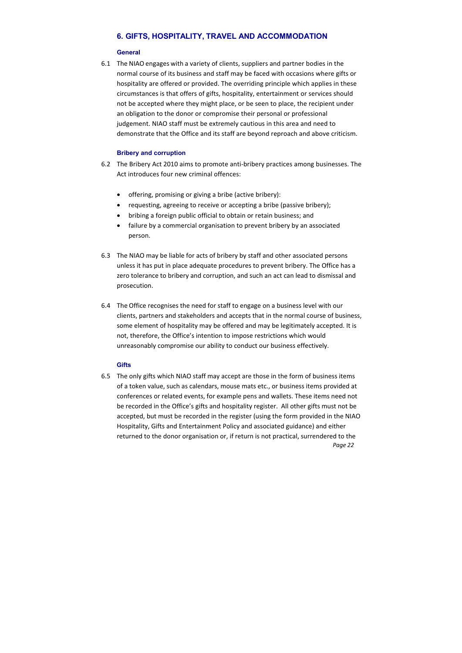# **6. GIFTS, HOSPITALITY, TRAVEL AND ACCOMMODATION**

#### **General**

6.1 The NIAO engages with a variety of clients, suppliers and partner bodies in the normal course of its business and staff may be faced with occasions where gifts or hospitality are offered or provided. The overriding principle which applies in these circumstances is that offers of gifts, hospitality, entertainment or services should not be accepted where they might place, or be seen to place, the recipient under an obligation to the donor or compromise their personal or professional judgement. NIAO staff must be extremely cautious in this area and need to demonstrate that the Office and its staff are beyond reproach and above criticism.

#### **Bribery and corruption**

*Page 22* 6.5 The only gifts which NIAO staff may accept are those in the form of business items of a token value, such as calendars, mouse mats etc., or business items provided at conferences or related events, for example pens and wallets. These items need not be recorded in the Office's gifts and hospitality register. All other gifts must not be accepted, but must be recorded in the register (using the form provided in the NIAO Hospitality, Gifts and Entertainment Policy and associated guidance) and either returned to the donor organisation or, if return is not practical, surrendered to the

- 6.2 The Bribery Act 2010 aims to promote anti‐bribery practices among businesses. The Act introduces four new criminal offences:
	- offering, promising or giving a bribe (active bribery):
	- requesting, agreeing to receive or accepting a bribe (passive bribery);
	- bribing a foreign public official to obtain or retain business; and
	- failure by a commercial organisation to prevent bribery by an associated person.
- 6.3 The NIAO may be liable for acts of bribery by staff and other associated persons unless it has put in place adequate procedures to prevent bribery. The Office has a zero tolerance to bribery and corruption, and such an act can lead to dismissal and prosecution.
- 6.4 The Office recognises the need for staff to engage on a business level with our clients, partners and stakeholders and accepts that in the normal course of business, some element of hospitality may be offered and may be legitimately accepted. It is not, therefore, the Office's intention to impose restrictions which would unreasonably compromise our ability to conduct our business effectively.

#### **Gifts**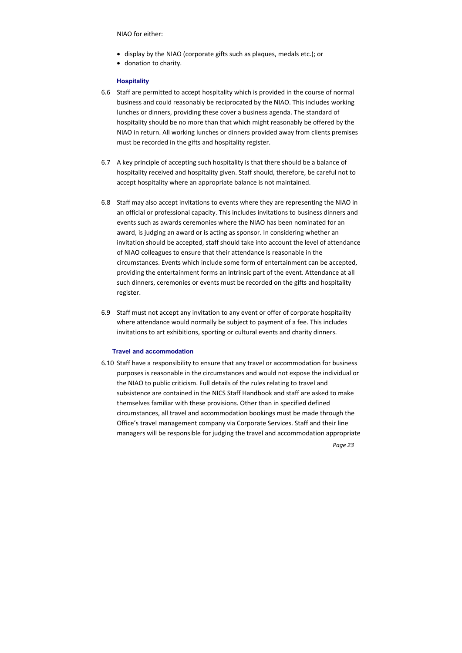- display by the NIAO (corporate gifts such as plaques, medals etc.); or
- donation to charity.

#### NIAO for either:

#### **Hospitality**

- 6.6 Staff are permitted to accept hospitality which is provided in the course of normal business and could reasonably be reciprocated by the NIAO. This includes working lunches or dinners, providing these cover a business agenda. The standard of hospitality should be no more than that which might reasonably be offered by the NIAO in return. All working lunches or dinners provided away from clients premises must be recorded in the gifts and hospitality register.
- 6.7 A key principle of accepting such hospitality is that there should be a balance of hospitality received and hospitality given. Staff should, therefore, be careful not to accept hospitality where an appropriate balance is not maintained.
- 6.8 Staff may also accept invitations to events where they are representing the NIAO in an official or professional capacity. This includes invitations to business dinners and events such as awards ceremonies where the NIAO has been nominated for an award, is judging an award or is acting as sponsor. In considering whether an invitation should be accepted, staff should take into account the level of attendance of NIAO colleagues to ensure that their attendance is reasonable in the circumstances. Events which include some form of entertainment can be accepted, providing the entertainment forms an intrinsic part of the event. Attendance at all such dinners, ceremonies or events must be recorded on the gifts and hospitality register.
- 6.9 Staff must not accept any invitation to any event or offer of corporate hospitality where attendance would normally be subject to payment of a fee. This includes invitations to art exhibitions, sporting or cultural events and charity dinners.

#### **Travel and accommodation**

6.10 Staff have a responsibility to ensure that any travel or accommodation for business purposes is reasonable in the circumstances and would not expose the individual or the NIAO to public criticism. Full details of the rules relating to travel and subsistence are contained in the NICS Staff Handbook and staff are asked to make themselves familiar with these provisions. Other than in specified defined circumstances, all travel and accommodation bookings must be made through the Office's travel management company via Corporate Services. Staff and their line managers will be responsible for judging the travel and accommodation appropriate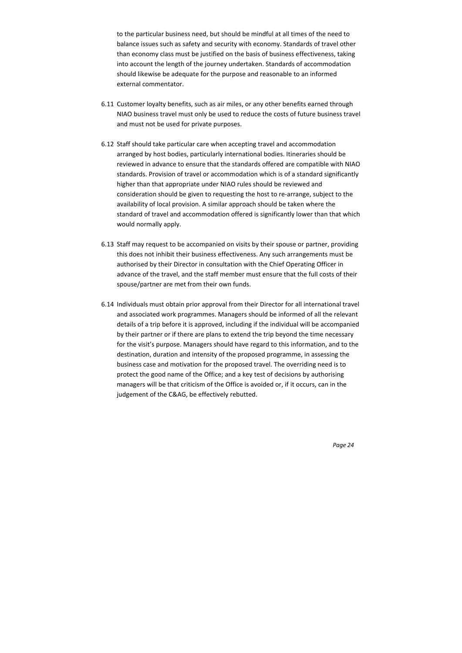to the particular business need, but should be mindful at all times of the need to balance issues such as safety and security with economy. Standards of travel other than economy class must be justified on the basis of business effectiveness, taking into account the length of the journey undertaken. Standards of accommodation should likewise be adequate for the purpose and reasonable to an informed external commentator.

- 6.11 Customer loyalty benefits, such as air miles, or any other benefits earned through NIAO business travel must only be used to reduce the costs of future business travel and must not be used for private purposes.
- 6.12 Staff should take particular care when accepting travel and accommodation arranged by host bodies, particularly international bodies. Itineraries should be reviewed in advance to ensure that the standards offered are compatible with NIAO standards. Provision of travel or accommodation which is of a standard significantly higher than that appropriate under NIAO rules should be reviewed and consideration should be given to requesting the host to re‐arrange, subject to the availability of local provision. A similar approach should be taken where the standard of travel and accommodation offered is significantly lower than that which would normally apply.
- 6.13 Staff may request to be accompanied on visits by their spouse or partner, providing this does not inhibit their business effectiveness. Any such arrangements must be authorised by their Director in consultation with the Chief Operating Officer in advance of the travel, and the staff member must ensure that the full costs of their spouse/partner are met from their own funds.
- 6.14 Individuals must obtain prior approval from their Director for all international travel and associated work programmes. Managers should be informed of all the relevant details of a trip before it is approved, including if the individual will be accompanied by their partner or if there are plans to extend the trip beyond the time necessary for the visit's purpose. Managers should have regard to this information, and to the destination, duration and intensity of the proposed programme, in assessing the business case and motivation for the proposed travel. The overriding need is to protect the good name of the Office; and a key test of decisions by authorising managers will be that criticism of the Office is avoided or, if it occurs, can in the judgement of the C&AG, be effectively rebutted.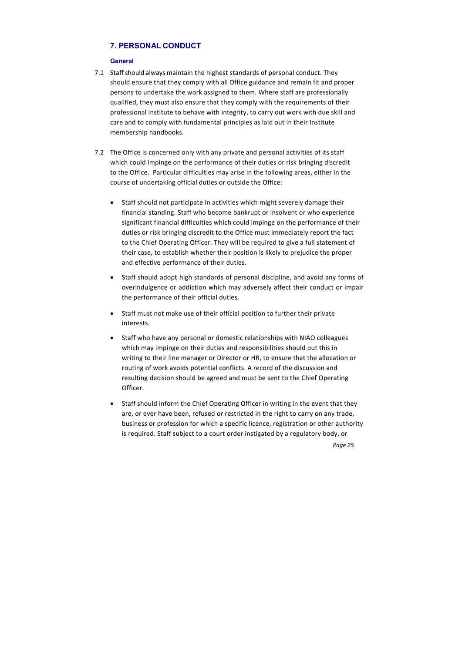# **7. PERSONAL CONDUCT**

#### **General**

- 7.1 Staff should always maintain the highest standards of personal conduct. They should ensure that they comply with all Office guidance and remain fit and proper persons to undertake the work assigned to them. Where staff are professionally qualified, they must also ensure that they comply with the requirements of their professional institute to behave with integrity, to carry out work with due skill and care and to comply with fundamental principles as laid out in their Institute membership handbooks.
- 7.2 The Office is concerned only with any private and personal activities of its staff which could impinge on the performance of their duties or risk bringing discredit to the Office. Particular difficulties may arise in the following areas, either in the course of undertaking official duties or outside the Office:
	- Staff should not participate in activities which might severely damage their financial standing. Staff who become bankrupt or insolvent or who experience significant financial difficulties which could impinge on the performance of their duties or risk bringing discredit to the Office must immediately report the fact to the Chief Operating Officer. They will be required to give a full statement of their case, to establish whether their position is likely to prejudice the proper and effective performance of their duties.
	- Staff should adopt high standards of personal discipline, and avoid any forms of overindulgence or addiction which may adversely affect their conduct or impair the performance of their official duties.
	- Staff must not make use of their official position to further their private interests.
	- Staff who have any personal or domestic relationships with NIAO colleagues which may impinge on their duties and responsibilities should put this in writing to their line manager or Director or HR, to ensure that the allocation or routing of work avoids potential conflicts. A record of the discussion and resulting decision should be agreed and must be sent to the Chief Operating Officer.
	- Staff should inform the Chief Operating Officer in writing in the event that they are, or ever have been, refused or restricted in the right to carry on any trade, business or profession for which a specific licence, registration or other authority is required. Staff subject to a court order instigated by a regulatory body, or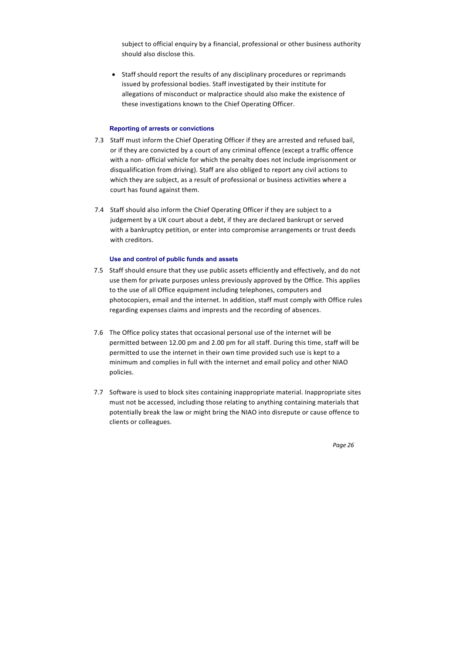subject to official enquiry by a financial, professional or other business authority should also disclose this.

• Staff should report the results of any disciplinary procedures or reprimands issued by professional bodies. Staff investigated by their institute for allegations of misconduct or malpractice should also make the existence of these investigations known to the Chief Operating Officer.

# **Reporting of arrests or convictions**

- 7.3 Staff must inform the Chief Operating Officer if they are arrested and refused bail, or if they are convicted by a court of any criminal offence (except a traffic offence with a non- official vehicle for which the penalty does not include imprisonment or disqualification from driving). Staff are also obliged to report any civil actions to which they are subject, as a result of professional or business activities where a court has found against them.
- 7.4 Staff should also inform the Chief Operating Officer if they are subject to a judgement by a UK court about a debt, if they are declared bankrupt or served with a bankruptcy petition, or enter into compromise arrangements or trust deeds with creditors.

#### **Use and control of public funds and assets**

- 7.5 Staff should ensure that they use public assets efficiently and effectively, and do not use them for private purposes unless previously approved by the Office. This applies to the use of all Office equipment including telephones, computers and photocopiers, email and the internet. In addition, staff must comply with Office rules regarding expenses claims and imprests and the recording of absences.
- 7.6 The Office policy states that occasional personal use of the internet will be permitted between 12.00 pm and 2.00 pm for all staff. During this time, staff will be permitted to use the internet in their own time provided such use is kept to a minimum and complies in full with the internet and email policy and other NIAO policies.
- 7.7 Software is used to block sites containing inappropriate material. Inappropriate sites must not be accessed, including those relating to anything containing materials that potentially break the law or might bring the NIAO into disrepute or cause offence to clients or colleagues.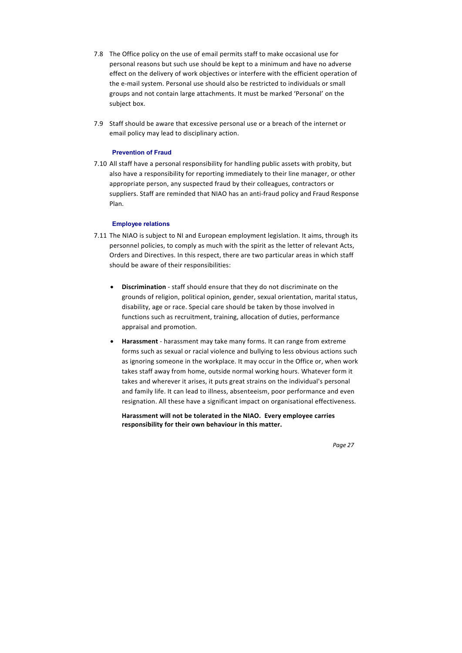- 7.8 The Office policy on the use of email permits staff to make occasional use for personal reasons but such use should be kept to a minimum and have no adverse effect on the delivery of work objectives or interfere with the efficient operation of the e‐mail system. Personal use should also be restricted to individuals or small groups and not contain large attachments. It must be marked 'Personal' on the subject box.
- 7.9 Staff should be aware that excessive personal use or a breach of the internet or email policy may lead to disciplinary action.

#### **Prevention of Fraud**

7.10 All staff have a personal responsibility for handling public assets with probity, but also have a responsibility for reporting immediately to their line manager, or other appropriate person, any suspected fraud by their colleagues, contractors or suppliers. Staff are reminded that NIAO has an anti-fraud policy and Fraud Response Plan.

#### **Employee relations**

- 7.11 The NIAO is subject to NI and European employment legislation. It aims, through its personnel policies, to comply as much with the spirit as the letter of relevant Acts, Orders and Directives. In this respect, there are two particular areas in which staff should be aware of their responsibilities:
	- **Discrimination** ‐ staff should ensure that they do not discriminate on the grounds of religion, political opinion, gender, sexual orientation, marital status, disability, age or race. Special care should be taken by those involved in functions such as recruitment, training, allocation of duties, performance appraisal and promotion.
	- **Harassment** ‐ harassment may take many forms. It can range from extreme forms such as sexual or racial violence and bullying to less obvious actions such as ignoring someone in the workplace. It may occur in the Office or, when work takes staff away from home, outside normal working hours. Whatever form it takes and wherever it arises, it puts great strains on the individual's personal and family life. It can lead to illness, absenteeism, poor performance and even resignation. All these have a significant impact on organisational effectiveness.

**Harassment will not be tolerated in the NIAO. Every employee carries responsibility for their own behaviour in this matter.**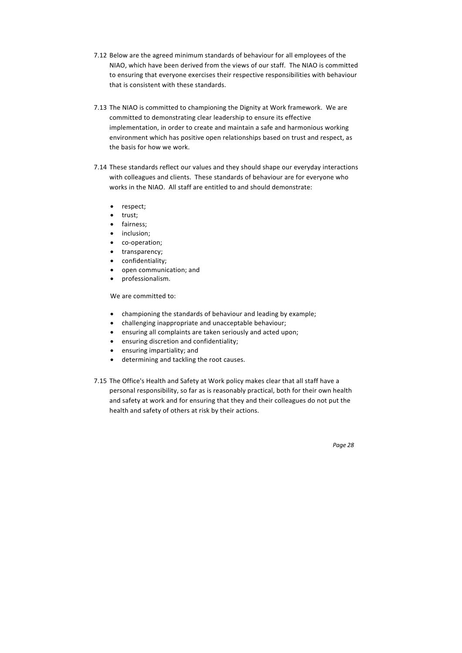- 7.12 Below are the agreed minimum standards of behaviour for all employees of the NIAO, which have been derived from the views of our staff. The NIAO is committed to ensuring that everyone exercises their respective responsibilities with behaviour that is consistent with these standards.
- 7.13 The NIAO is committed to championing the Dignity at Work framework. We are committed to demonstrating clear leadership to ensure its effective implementation, in order to create and maintain a safe and harmonious working environment which has positive open relationships based on trust and respect, as the basis for how we work.
- 7.14 These standards reflect our values and they should shape our everyday interactions with colleagues and clients. These standards of behaviour are for everyone who works in the NIAO. All staff are entitled to and should demonstrate:
	- respect;
	- trust;
	- fairness;
	- inclusion;
	- co-operation;
	- transparency;
	- confidentiality;
	- open communication; and
	- professionalism.

We are committed to:

- championing the standards of behaviour and leading by example;
- challenging inappropriate and unacceptable behaviour;
- ensuring all complaints are taken seriously and acted upon;
- ensuring discretion and confidentiality;
- ensuring impartiality; and
- determining and tackling the root causes.
- 7.15 The Office's Health and Safety at Work policy makes clear that all staff have a personal responsibility, so far as is reasonably practical, both for their own health and safety at work and for ensuring that they and their colleagues do not put the health and safety of others at risk by their actions.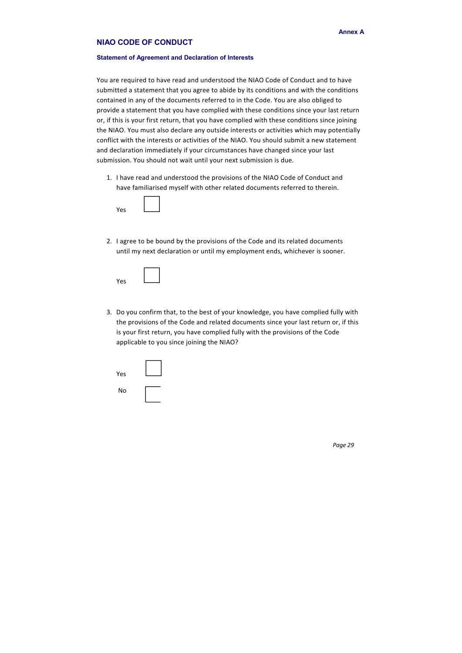# **NIAO CODE OF CONDUCT**

#### **Statement of Agreement and Declaration of Interests**

You are required to have read and understood the NIAO Code of Conduct and to have submitted a statement that you agree to abide by its conditions and with the conditions contained in any of the documents referred to in the Code. You are also obliged to provide a statement that you have complied with these conditions since your last return or, if this is your first return, that you have complied with these conditions since joining the NIAO. You must also declare any outside interests or activities which may potentially conflict with the interests or activities of the NIAO. You should submit a new statement and declaration immediately if your circumstances have changed since your last submission. You should not wait until your next submission is due.

2. I agree to be bound by the provisions of the Code and its related documents until my next declaration or until my employment ends, whichever is sooner.

1. I have read and understood the provisions of the NIAO Code of Conduct and have familiarised myself with other related documents referred to therein.

| Yes |  |
|-----|--|

| Yes |  |
|-----|--|

3. Do you confirm that, to the best of your knowledge, you have complied fully with the provisions of the Code and related documents since your last return or, if this is your first return, you have complied fully with the provisions of the Code applicable to you since joining the NIAO?

| Yes |  |
|-----|--|
| No  |  |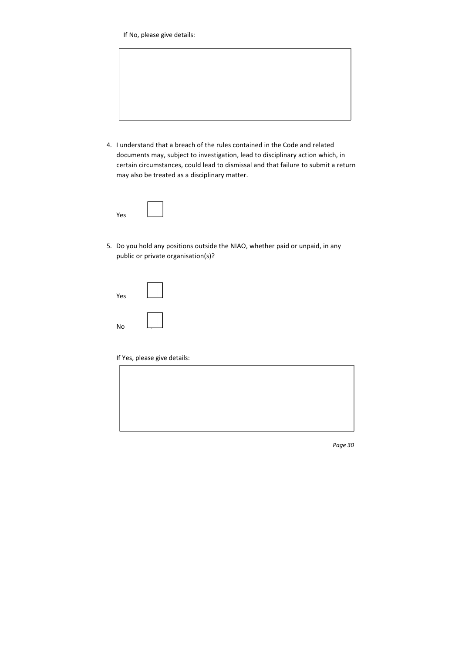If No, please give details:



4. I understand that a breach of the rules contained in the Code and related documents may, subject to investigation, lead to disciplinary action which, in certain circumstances, could lead to dismissal and that failure to submit a return may also be treated as a disciplinary matter.

| Yes |  |
|-----|--|

5. Do you hold any positions outside the NIAO, whether paid or unpaid, in any public or private organisation(s)?

| Yes |   |
|-----|---|
| No  | - |

If Yes, please give details: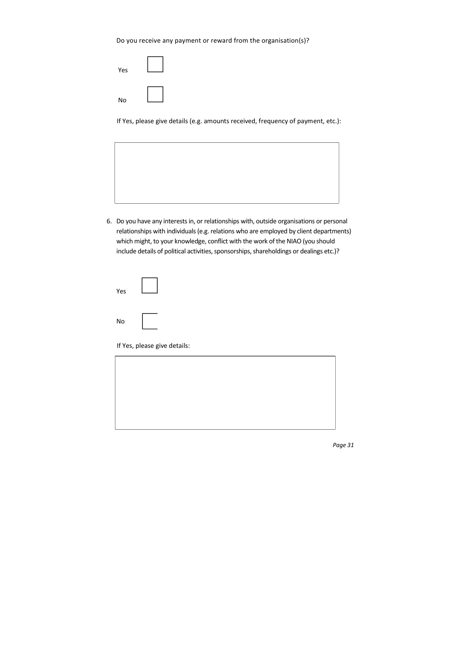# Do you receive any payment or reward from the organisation(s)?

| Yes |  |
|-----|--|
| No  |  |

If Yes, please give details (e.g. amounts received, frequency of payment, etc.):



6. Do you have any interests in, or relationships with, outside organisations or personal relationships with individuals (e.g. relations who are employed by client departments) which might, to your knowledge, conflict with the work of the NIAO (you should include details of political activities, sponsorships, shareholdings or dealings etc.)?

| Yes |  |
|-----|--|
| No  |  |

If Yes, please give details:

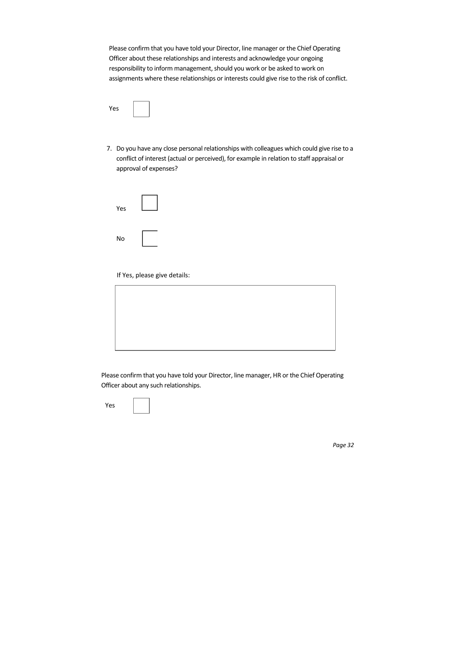Please confirm that you have told your Director, line manager or the Chief Operating Officer about these relationships and interests and acknowledge your ongoing responsibility to inform management, should you work or be asked to work on assignments where these relationships or interests could give rise to the risk of conflict.

Yes

7. Do you have any close personal relationships with colleagues which could give rise to a conflict of interest (actual or perceived), for example in relation to staff appraisal or approval of expenses?

| Yes       |  |
|-----------|--|
| <b>No</b> |  |

If Yes, please give details:



Please confirm that you have told your Director, line manager, HR or the Chief Operating Officer about any such relationships.

Yes